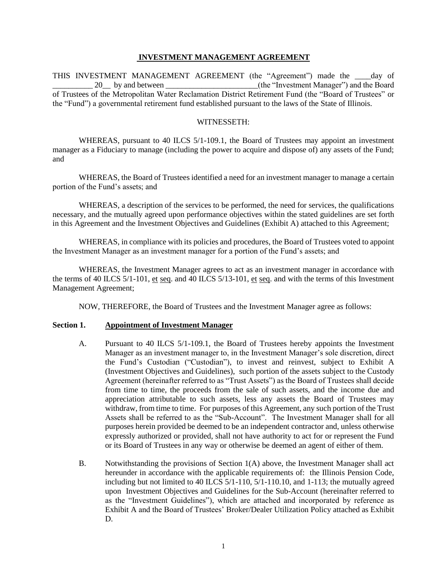#### **INVESTMENT MANAGEMENT AGREEMENT**

THIS INVESTMENT MANAGEMENT AGREEMENT (the "Agreement") made the \_\_\_\_day of 20\_ by and between \_\_\_\_\_\_\_\_\_\_\_\_\_\_\_\_\_\_(the "Investment Manager") and the Board of Trustees of the Metropolitan Water Reclamation District Retirement Fund (the "Board of Trustees" or the "Fund") a governmental retirement fund established pursuant to the laws of the State of Illinois.

#### WITNESSETH:

WHEREAS, pursuant to 40 ILCS 5/1-109.1, the Board of Trustees may appoint an investment manager as a Fiduciary to manage (including the power to acquire and dispose of) any assets of the Fund; and

WHEREAS, the Board of Trustees identified a need for an investment manager to manage a certain portion of the Fund's assets; and

WHEREAS, a description of the services to be performed, the need for services, the qualifications necessary, and the mutually agreed upon performance objectives within the stated guidelines are set forth in this Agreement and the Investment Objectives and Guidelines (Exhibit A) attached to this Agreement;

WHEREAS, in compliance with its policies and procedures, the Board of Trustees voted to appoint the Investment Manager as an investment manager for a portion of the Fund's assets; and

WHEREAS, the Investment Manager agrees to act as an investment manager in accordance with the terms of 40 ILCS 5/1-101, et seq. and 40 ILCS 5/13-101, et seq. and with the terms of this Investment Management Agreement;

NOW, THEREFORE, the Board of Trustees and the Investment Manager agree as follows:

### **Section 1. Appointment of Investment Manager**

- A. Pursuant to 40 ILCS 5/1-109.1, the Board of Trustees hereby appoints the Investment Manager as an investment manager to, in the Investment Manager's sole discretion, direct the Fund's Custodian ("Custodian"), to invest and reinvest, subject to Exhibit A (Investment Objectives and Guidelines), such portion of the assets subject to the Custody Agreement (hereinafter referred to as "Trust Assets") as the Board of Trustees shall decide from time to time, the proceeds from the sale of such assets, and the income due and appreciation attributable to such assets, less any assets the Board of Trustees may withdraw, from time to time. For purposes of this Agreement, any such portion of the Trust Assets shall be referred to as the "Sub-Account". The Investment Manager shall for all purposes herein provided be deemed to be an independent contractor and, unless otherwise expressly authorized or provided, shall not have authority to act for or represent the Fund or its Board of Trustees in any way or otherwise be deemed an agent of either of them.
- B. Notwithstanding the provisions of Section 1(A) above, the Investment Manager shall act hereunder in accordance with the applicable requirements of: the Illinois Pension Code, including but not limited to 40 ILCS 5/1-110, 5/1-110.10, and 1-113; the mutually agreed upon Investment Objectives and Guidelines for the Sub-Account (hereinafter referred to as the "Investment Guidelines"), which are attached and incorporated by reference as Exhibit A and the Board of Trustees' Broker/Dealer Utilization Policy attached as Exhibit D.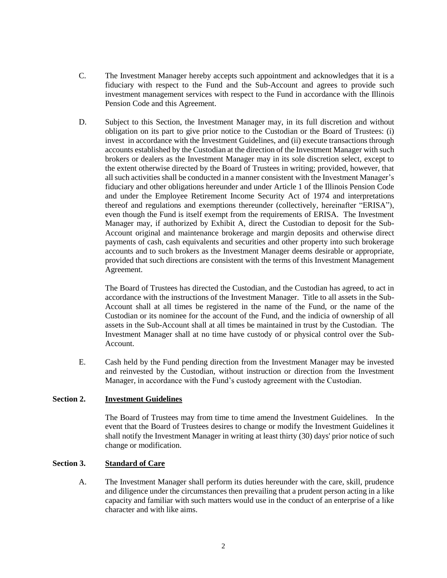- C. The Investment Manager hereby accepts such appointment and acknowledges that it is a fiduciary with respect to the Fund and the Sub-Account and agrees to provide such investment management services with respect to the Fund in accordance with the Illinois Pension Code and this Agreement.
- D. Subject to this Section, the Investment Manager may, in its full discretion and without obligation on its part to give prior notice to the Custodian or the Board of Trustees: (i) invest in accordance with the Investment Guidelines, and (ii) execute transactions through accounts established by the Custodian at the direction of the Investment Manager with such brokers or dealers as the Investment Manager may in its sole discretion select, except to the extent otherwise directed by the Board of Trustees in writing; provided, however, that all such activities shall be conducted in a manner consistent with the Investment Manager's fiduciary and other obligations hereunder and under Article 1 of the Illinois Pension Code and under the Employee Retirement Income Security Act of 1974 and interpretations thereof and regulations and exemptions thereunder (collectively, hereinafter "ERISA"), even though the Fund is itself exempt from the requirements of ERISA. The Investment Manager may, if authorized by Exhibit A, direct the Custodian to deposit for the Sub-Account original and maintenance brokerage and margin deposits and otherwise direct payments of cash, cash equivalents and securities and other property into such brokerage accounts and to such brokers as the Investment Manager deems desirable or appropriate, provided that such directions are consistent with the terms of this Investment Management Agreement.

The Board of Trustees has directed the Custodian, and the Custodian has agreed, to act in accordance with the instructions of the Investment Manager. Title to all assets in the Sub-Account shall at all times be registered in the name of the Fund, or the name of the Custodian or its nominee for the account of the Fund, and the indicia of ownership of all assets in the Sub-Account shall at all times be maintained in trust by the Custodian. The Investment Manager shall at no time have custody of or physical control over the Sub-Account.

E. Cash held by the Fund pending direction from the Investment Manager may be invested and reinvested by the Custodian, without instruction or direction from the Investment Manager, in accordance with the Fund's custody agreement with the Custodian.

## **Section 2. Investment Guidelines**

The Board of Trustees may from time to time amend the Investment Guidelines. In the event that the Board of Trustees desires to change or modify the Investment Guidelines it shall notify the Investment Manager in writing at least thirty (30) days' prior notice of such change or modification.

## **Section 3. Standard of Care**

A. The Investment Manager shall perform its duties hereunder with the care, skill, prudence and diligence under the circumstances then prevailing that a prudent person acting in a like capacity and familiar with such matters would use in the conduct of an enterprise of a like character and with like aims.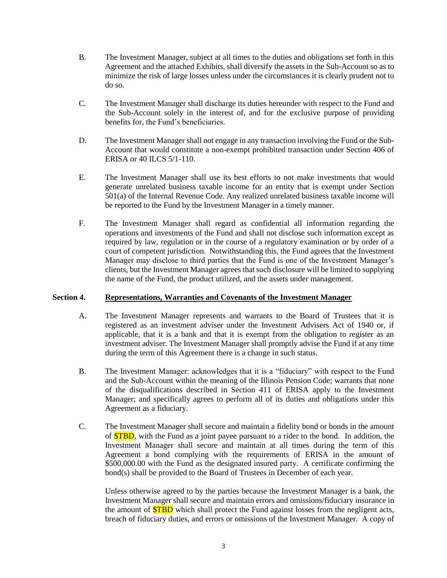- B. The Investment Manager, subject at all times to the duties and obligations set forth in this Agreement and the attached Exhibits, shall diversify the assets in the Sub-Account so as to minimize the risk of large losses unless under the circumstances it is clearly prudent not to do so.
- C. The Investment Manager shall discharge its duties hereunder with respect to the Fund and the Sub-Account solely in the interest of, and for the exclusive purpose of providing benefits for, the Fund's beneficiaries.
- D. The Investment Manager shall not engage in any transaction involving the Fund or the Sub-Account that would constitute a non-exempt prohibited transaction under Section 406 of ERISA or 40 ILCS 5/1-110.
- E. The Investment Manager shall use its best efforts to not make investments that would generate unrelated business taxable income for an entity that is exempt under Section 501(a) of the Internal Revenue Code. Any realized unrelated business taxable income will be reported to the Fund by the Investment Manager in a timely manner.
- F. The Investment Manager shall regard as confidential all information regarding the operations and investments of the Fund and shall not disclose such information except as required by law, regulation or in the course of a regulatory examination or by order of a court of competent jurisdiction. Notwithstanding this, the Fund agrees that the Investment Manager may disclose to third parties that the Fund is one of the Investment Manager's clients, but the Investment Manager agrees that such disclosure will be limited to supplying the name of the Fund, the product utilized, and the assets under management.

## **Section 4. Representations, Warranties and Covenants of the Investment Manager**

- A. The Investment Manager represents and warrants to the Board of Trustees that it is registered as an investment adviser under the Investment Advisers Act of 1940 or, if applicable, that it is a bank and that it is exempt from the obligation to register as an investment adviser. The Investment Manager shall promptly advise the Fund if at any time during the term of this Agreement there is a change in such status.
- B. The Investment Manager: acknowledges that it is a "fiduciary" with respect to the Fund and the Sub-Account within the meaning of the Illinois Pension Code; warrants that none of the disqualifications described in Section 411 of ERISA apply to the Investment Manager; and specifically agrees to perform all of its duties and obligations under this Agreement as a fiduciary.
- C. The Investment Manager shall secure and maintain a fidelity bond or bonds in the amount of **\$TBD**, with the Fund as a joint payee pursuant to a rider to the bond. In addition, the Investment Manager shall secure and maintain at all times during the term of this Agreement a bond complying with the requirements of ERISA in the amount of \$500,000.00 with the Fund as the designated insured party. A certificate confirming the bond(s) shall be provided to the Board of Trustees in December of each year.

Unless otherwise agreed to by the parties because the Investment Manager is a bank, the Investment Manager shall secure and maintain errors and omissions/fiduciary insurance in the amount of **\$TBD** which shall protect the Fund against losses from the negligent acts, breach of fiduciary duties, and errors or omissions of the Investment Manager. A copy of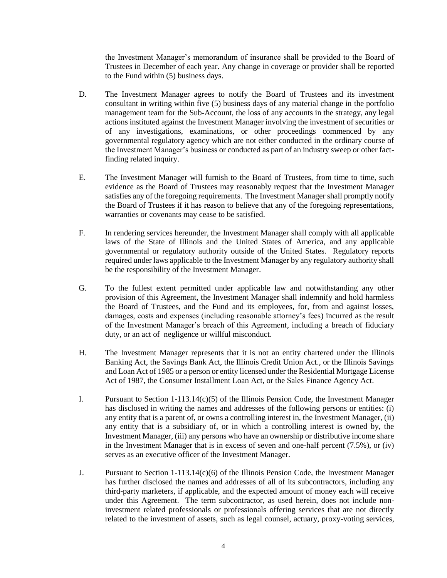the Investment Manager's memorandum of insurance shall be provided to the Board of Trustees in December of each year. Any change in coverage or provider shall be reported to the Fund within (5) business days.

- D. The Investment Manager agrees to notify the Board of Trustees and its investment consultant in writing within five (5) business days of any material change in the portfolio management team for the Sub-Account, the loss of any accounts in the strategy, any legal actions instituted against the Investment Manager involving the investment of securities or of any investigations, examinations, or other proceedings commenced by any governmental regulatory agency which are not either conducted in the ordinary course of the Investment Manager's business or conducted as part of an industry sweep or other factfinding related inquiry.
- E. The Investment Manager will furnish to the Board of Trustees, from time to time, such evidence as the Board of Trustees may reasonably request that the Investment Manager satisfies any of the foregoing requirements. The Investment Manager shall promptly notify the Board of Trustees if it has reason to believe that any of the foregoing representations, warranties or covenants may cease to be satisfied.
- F. In rendering services hereunder, the Investment Manager shall comply with all applicable laws of the State of Illinois and the United States of America, and any applicable governmental or regulatory authority outside of the United States. Regulatory reports required under laws applicable to the Investment Manager by any regulatory authority shall be the responsibility of the Investment Manager.
- G. To the fullest extent permitted under applicable law and notwithstanding any other provision of this Agreement, the Investment Manager shall indemnify and hold harmless the Board of Trustees, and the Fund and its employees, for, from and against losses, damages, costs and expenses (including reasonable attorney's fees) incurred as the result of the Investment Manager's breach of this Agreement, including a breach of fiduciary duty, or an act of negligence or willful misconduct.
- H. The Investment Manager represents that it is not an entity chartered under the Illinois Banking Act, the Savings Bank Act, the Illinois Credit Union Act., or the Illinois Savings and Loan Act of 1985 or a person or entity licensed under the Residential Mortgage License Act of 1987, the Consumer Installment Loan Act, or the Sales Finance Agency Act.
- I. Pursuant to Section  $1-113.14(c)(5)$  of the Illinois Pension Code, the Investment Manager has disclosed in writing the names and addresses of the following persons or entities: (i) any entity that is a parent of, or owns a controlling interest in, the Investment Manager, (ii) any entity that is a subsidiary of, or in which a controlling interest is owned by, the Investment Manager, (iii) any persons who have an ownership or distributive income share in the Investment Manager that is in excess of seven and one-half percent (7.5%), or (iv) serves as an executive officer of the Investment Manager.
- J. Pursuant to Section 1-113.14(c)(6) of the Illinois Pension Code, the Investment Manager has further disclosed the names and addresses of all of its subcontractors, including any third-party marketers, if applicable, and the expected amount of money each will receive under this Agreement. The term subcontractor, as used herein, does not include noninvestment related professionals or professionals offering services that are not directly related to the investment of assets, such as legal counsel, actuary, proxy-voting services,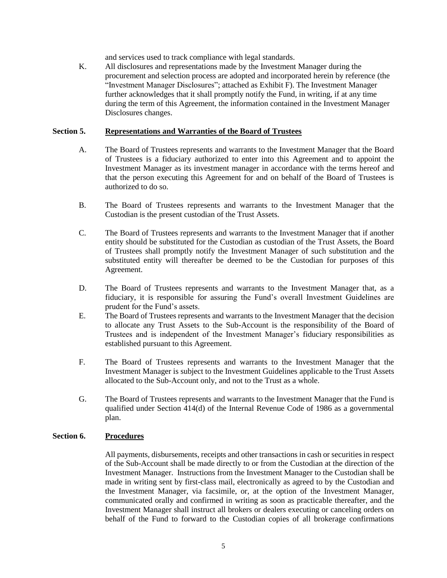and services used to track compliance with legal standards.

K. All disclosures and representations made by the Investment Manager during the procurement and selection process are adopted and incorporated herein by reference (the "Investment Manager Disclosures"; attached as Exhibit F). The Investment Manager further acknowledges that it shall promptly notify the Fund, in writing, if at any time during the term of this Agreement, the information contained in the Investment Manager Disclosures changes.

### **Section 5. Representations and Warranties of the Board of Trustees**

- A. The Board of Trustees represents and warrants to the Investment Manager that the Board of Trustees is a fiduciary authorized to enter into this Agreement and to appoint the Investment Manager as its investment manager in accordance with the terms hereof and that the person executing this Agreement for and on behalf of the Board of Trustees is authorized to do so.
- B. The Board of Trustees represents and warrants to the Investment Manager that the Custodian is the present custodian of the Trust Assets.
- C. The Board of Trustees represents and warrants to the Investment Manager that if another entity should be substituted for the Custodian as custodian of the Trust Assets, the Board of Trustees shall promptly notify the Investment Manager of such substitution and the substituted entity will thereafter be deemed to be the Custodian for purposes of this Agreement.
- D. The Board of Trustees represents and warrants to the Investment Manager that, as a fiduciary, it is responsible for assuring the Fund's overall Investment Guidelines are prudent for the Fund's assets.
- E. The Board of Trustees represents and warrants to the Investment Manager that the decision to allocate any Trust Assets to the Sub-Account is the responsibility of the Board of Trustees and is independent of the Investment Manager's fiduciary responsibilities as established pursuant to this Agreement.
- F. The Board of Trustees represents and warrants to the Investment Manager that the Investment Manager is subject to the Investment Guidelines applicable to the Trust Assets allocated to the Sub-Account only, and not to the Trust as a whole.
- G. The Board of Trustees represents and warrants to the Investment Manager that the Fund is qualified under Section 414(d) of the Internal Revenue Code of 1986 as a governmental plan.

## **Section 6. Procedures**

All payments, disbursements, receipts and other transactions in cash or securities in respect of the Sub-Account shall be made directly to or from the Custodian at the direction of the Investment Manager. Instructions from the Investment Manager to the Custodian shall be made in writing sent by first-class mail, electronically as agreed to by the Custodian and the Investment Manager, via facsimile, or, at the option of the Investment Manager, communicated orally and confirmed in writing as soon as practicable thereafter, and the Investment Manager shall instruct all brokers or dealers executing or canceling orders on behalf of the Fund to forward to the Custodian copies of all brokerage confirmations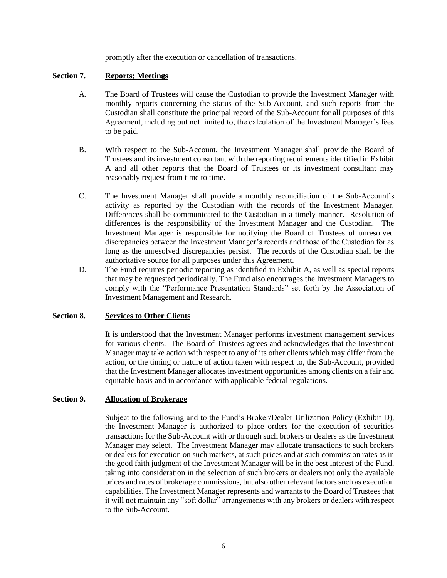promptly after the execution or cancellation of transactions.

### **Section 7. Reports; Meetings**

- A. The Board of Trustees will cause the Custodian to provide the Investment Manager with monthly reports concerning the status of the Sub-Account, and such reports from the Custodian shall constitute the principal record of the Sub-Account for all purposes of this Agreement, including but not limited to, the calculation of the Investment Manager's fees to be paid.
- B. With respect to the Sub-Account, the Investment Manager shall provide the Board of Trustees and its investment consultant with the reporting requirements identified in Exhibit A and all other reports that the Board of Trustees or its investment consultant may reasonably request from time to time.
- C. The Investment Manager shall provide a monthly reconciliation of the Sub-Account's activity as reported by the Custodian with the records of the Investment Manager. Differences shall be communicated to the Custodian in a timely manner. Resolution of differences is the responsibility of the Investment Manager and the Custodian. The Investment Manager is responsible for notifying the Board of Trustees of unresolved discrepancies between the Investment Manager's records and those of the Custodian for as long as the unresolved discrepancies persist. The records of the Custodian shall be the authoritative source for all purposes under this Agreement.
- D. The Fund requires periodic reporting as identified in Exhibit A, as well as special reports that may be requested periodically. The Fund also encourages the Investment Managers to comply with the "Performance Presentation Standards" set forth by the Association of Investment Management and Research.

## **Section 8. Services to Other Clients**

It is understood that the Investment Manager performs investment management services for various clients. The Board of Trustees agrees and acknowledges that the Investment Manager may take action with respect to any of its other clients which may differ from the action, or the timing or nature of action taken with respect to, the Sub-Account, provided that the Investment Manager allocates investment opportunities among clients on a fair and equitable basis and in accordance with applicable federal regulations.

## **Section 9. Allocation of Brokerage**

Subject to the following and to the Fund's Broker/Dealer Utilization Policy (Exhibit D), the Investment Manager is authorized to place orders for the execution of securities transactions for the Sub-Account with or through such brokers or dealers as the Investment Manager may select. The Investment Manager may allocate transactions to such brokers or dealers for execution on such markets, at such prices and at such commission rates as in the good faith judgment of the Investment Manager will be in the best interest of the Fund, taking into consideration in the selection of such brokers or dealers not only the available prices and rates of brokerage commissions, but also other relevant factors such as execution capabilities. The Investment Manager represents and warrants to the Board of Trustees that it will not maintain any "soft dollar" arrangements with any brokers or dealers with respect to the Sub-Account.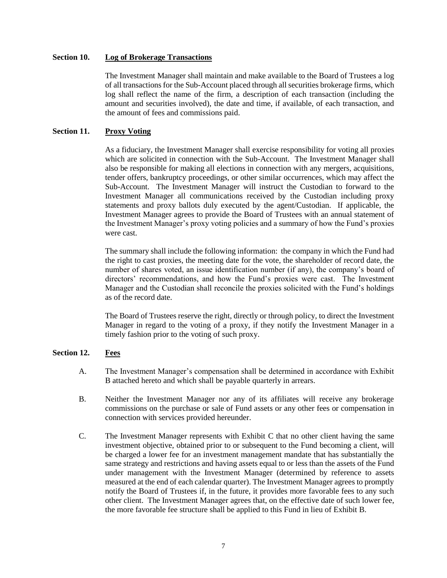### **Section 10. Log of Brokerage Transactions**

The Investment Manager shall maintain and make available to the Board of Trustees a log of all transactions for the Sub-Account placed through all securities brokerage firms, which log shall reflect the name of the firm, a description of each transaction (including the amount and securities involved), the date and time, if available, of each transaction, and the amount of fees and commissions paid.

### **Section 11. Proxy Voting**

As a fiduciary, the Investment Manager shall exercise responsibility for voting all proxies which are solicited in connection with the Sub-Account. The Investment Manager shall also be responsible for making all elections in connection with any mergers, acquisitions, tender offers, bankruptcy proceedings, or other similar occurrences, which may affect the Sub-Account. The Investment Manager will instruct the Custodian to forward to the Investment Manager all communications received by the Custodian including proxy statements and proxy ballots duly executed by the agent/Custodian. If applicable, the Investment Manager agrees to provide the Board of Trustees with an annual statement of the Investment Manager's proxy voting policies and a summary of how the Fund's proxies were cast.

The summary shall include the following information: the company in which the Fund had the right to cast proxies, the meeting date for the vote, the shareholder of record date, the number of shares voted, an issue identification number (if any), the company's board of directors' recommendations, and how the Fund's proxies were cast. The Investment Manager and the Custodian shall reconcile the proxies solicited with the Fund's holdings as of the record date.

The Board of Trustees reserve the right, directly or through policy, to direct the Investment Manager in regard to the voting of a proxy, if they notify the Investment Manager in a timely fashion prior to the voting of such proxy.

## **Section 12. Fees**

- A. The Investment Manager's compensation shall be determined in accordance with Exhibit B attached hereto and which shall be payable quarterly in arrears.
- B. Neither the Investment Manager nor any of its affiliates will receive any brokerage commissions on the purchase or sale of Fund assets or any other fees or compensation in connection with services provided hereunder.
- C. The Investment Manager represents with Exhibit C that no other client having the same investment objective, obtained prior to or subsequent to the Fund becoming a client, will be charged a lower fee for an investment management mandate that has substantially the same strategy and restrictions and having assets equal to or less than the assets of the Fund under management with the Investment Manager (determined by reference to assets measured at the end of each calendar quarter). The Investment Manager agrees to promptly notify the Board of Trustees if, in the future, it provides more favorable fees to any such other client. The Investment Manager agrees that, on the effective date of such lower fee, the more favorable fee structure shall be applied to this Fund in lieu of Exhibit B.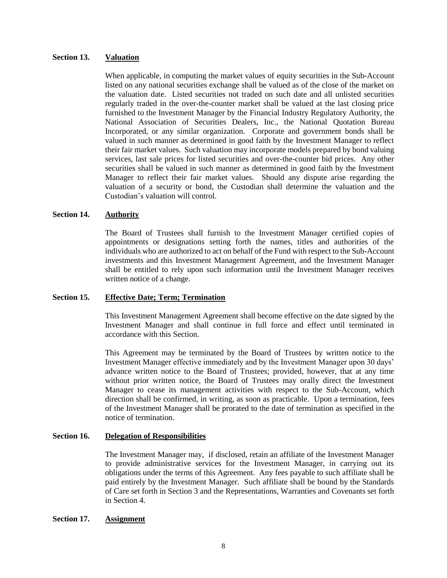#### **Section 13. Valuation**

When applicable, in computing the market values of equity securities in the Sub-Account listed on any national securities exchange shall be valued as of the close of the market on the valuation date. Listed securities not traded on such date and all unlisted securities regularly traded in the over-the-counter market shall be valued at the last closing price furnished to the Investment Manager by the Financial Industry Regulatory Authority, the National Association of Securities Dealers, Inc., the National Quotation Bureau Incorporated, or any similar organization. Corporate and government bonds shall be valued in such manner as determined in good faith by the Investment Manager to reflect their fair market values. Such valuation may incorporate models prepared by bond valuing services, last sale prices for listed securities and over-the-counter bid prices. Any other securities shall be valued in such manner as determined in good faith by the Investment Manager to reflect their fair market values. Should any dispute arise regarding the valuation of a security or bond, the Custodian shall determine the valuation and the Custodian's valuation will control.

## **Section 14. Authority**

The Board of Trustees shall furnish to the Investment Manager certified copies of appointments or designations setting forth the names, titles and authorities of the individuals who are authorized to act on behalf of the Fund with respect to the Sub-Account investments and this Investment Management Agreement, and the Investment Manager shall be entitled to rely upon such information until the Investment Manager receives written notice of a change.

## **Section 15. Effective Date; Term; Termination**

This Investment Management Agreement shall become effective on the date signed by the Investment Manager and shall continue in full force and effect until terminated in accordance with this Section.

This Agreement may be terminated by the Board of Trustees by written notice to the Investment Manager effective immediately and by the Investment Manager upon 30 days' advance written notice to the Board of Trustees; provided, however, that at any time without prior written notice, the Board of Trustees may orally direct the Investment Manager to cease its management activities with respect to the Sub-Account, which direction shall be confirmed, in writing, as soon as practicable. Upon a termination, fees of the Investment Manager shall be prorated to the date of termination as specified in the notice of termination.

## **Section 16. Delegation of Responsibilities**

The Investment Manager may, if disclosed, retain an affiliate of the Investment Manager to provide administrative services for the Investment Manager, in carrying out its obligations under the terms of this Agreement. Any fees payable to such affiliate shall be paid entirely by the Investment Manager. Such affiliate shall be bound by the Standards of Care set forth in Section 3 and the Representations, Warranties and Covenants set forth in Section 4.

#### **Section 17. Assignment**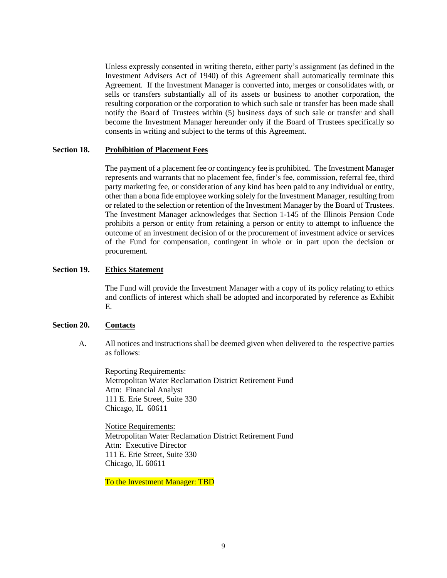Unless expressly consented in writing thereto, either party's assignment (as defined in the Investment Advisers Act of 1940) of this Agreement shall automatically terminate this Agreement. If the Investment Manager is converted into, merges or consolidates with, or sells or transfers substantially all of its assets or business to another corporation, the resulting corporation or the corporation to which such sale or transfer has been made shall notify the Board of Trustees within (5) business days of such sale or transfer and shall become the Investment Manager hereunder only if the Board of Trustees specifically so consents in writing and subject to the terms of this Agreement.

### **Section 18. Prohibition of Placement Fees**

The payment of a placement fee or contingency fee is prohibited. The Investment Manager represents and warrants that no placement fee, finder's fee, commission, referral fee, third party marketing fee, or consideration of any kind has been paid to any individual or entity, other than a bona fide employee working solely for the Investment Manager, resulting from or related to the selection or retention of the Investment Manager by the Board of Trustees. The Investment Manager acknowledges that Section 1-145 of the Illinois Pension Code prohibits a person or entity from retaining a person or entity to attempt to influence the outcome of an investment decision of or the procurement of investment advice or services of the Fund for compensation, contingent in whole or in part upon the decision or procurement.

### **Section 19. Ethics Statement**

The Fund will provide the Investment Manager with a copy of its policy relating to ethics and conflicts of interest which shall be adopted and incorporated by reference as Exhibit E.

### **Section 20. Contacts**

A. All notices and instructions shall be deemed given when delivered to the respective parties as follows:

Reporting Requirements: Metropolitan Water Reclamation District Retirement Fund Attn: Financial Analyst 111 E. Erie Street, Suite 330 Chicago, IL 60611

Notice Requirements: Metropolitan Water Reclamation District Retirement Fund Attn: Executive Director 111 E. Erie Street, Suite 330 Chicago, IL 60611

To the Investment Manager: TBD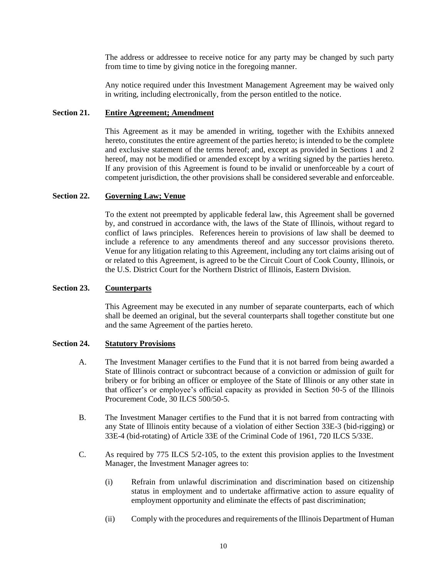The address or addressee to receive notice for any party may be changed by such party from time to time by giving notice in the foregoing manner.

Any notice required under this Investment Management Agreement may be waived only in writing, including electronically, from the person entitled to the notice.

### **Section 21. Entire Agreement; Amendment**

This Agreement as it may be amended in writing, together with the Exhibits annexed hereto, constitutes the entire agreement of the parties hereto; is intended to be the complete and exclusive statement of the terms hereof; and, except as provided in Sections 1 and 2 hereof, may not be modified or amended except by a writing signed by the parties hereto. If any provision of this Agreement is found to be invalid or unenforceable by a court of competent jurisdiction, the other provisions shall be considered severable and enforceable.

## **Section 22. Governing Law; Venue**

To the extent not preempted by applicable federal law, this Agreement shall be governed by, and construed in accordance with, the laws of the State of Illinois, without regard to conflict of laws principles. References herein to provisions of law shall be deemed to include a reference to any amendments thereof and any successor provisions thereto. Venue for any litigation relating to this Agreement, including any tort claims arising out of or related to this Agreement, is agreed to be the Circuit Court of Cook County, Illinois, or the U.S. District Court for the Northern District of Illinois, Eastern Division.

### **Section 23. Counterparts**

This Agreement may be executed in any number of separate counterparts, each of which shall be deemed an original, but the several counterparts shall together constitute but one and the same Agreement of the parties hereto.

#### **Section 24. Statutory Provisions**

- A. The Investment Manager certifies to the Fund that it is not barred from being awarded a State of Illinois contract or subcontract because of a conviction or admission of guilt for bribery or for bribing an officer or employee of the State of Illinois or any other state in that officer's or employee's official capacity as provided in Section 50-5 of the Illinois Procurement Code, 30 ILCS 500/50-5.
- B. The Investment Manager certifies to the Fund that it is not barred from contracting with any State of Illinois entity because of a violation of either Section 33E-3 (bid-rigging) or 33E-4 (bid-rotating) of Article 33E of the Criminal Code of 1961, 720 ILCS 5/33E.
- C. As required by 775 ILCS 5/2-105, to the extent this provision applies to the Investment Manager, the Investment Manager agrees to:
	- (i) Refrain from unlawful discrimination and discrimination based on citizenship status in employment and to undertake affirmative action to assure equality of employment opportunity and eliminate the effects of past discrimination;
	- (ii) Comply with the procedures and requirements of the Illinois Department of Human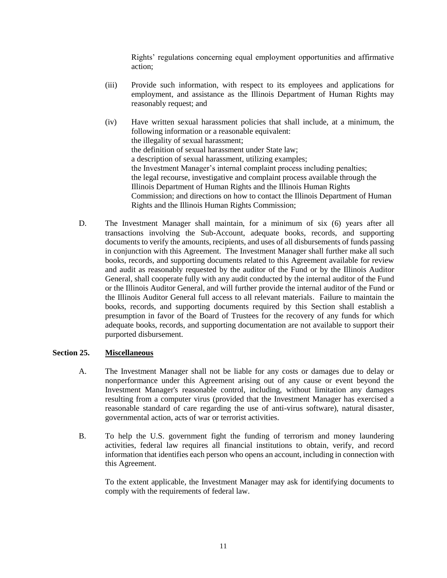Rights' regulations concerning equal employment opportunities and affirmative action;

- (iii) Provide such information, with respect to its employees and applications for employment, and assistance as the Illinois Department of Human Rights may reasonably request; and
- (iv) Have written sexual harassment policies that shall include, at a minimum, the following information or a reasonable equivalent: the illegality of sexual harassment; the definition of sexual harassment under State law; a description of sexual harassment, utilizing examples; the Investment Manager's internal complaint process including penalties; the legal recourse, investigative and complaint process available through the Illinois Department of Human Rights and the Illinois Human Rights Commission; and directions on how to contact the Illinois Department of Human Rights and the Illinois Human Rights Commission;
- D. The Investment Manager shall maintain, for a minimum of six (6) years after all transactions involving the Sub-Account, adequate books, records, and supporting documents to verify the amounts, recipients, and uses of all disbursements of funds passing in conjunction with this Agreement. The Investment Manager shall further make all such books, records, and supporting documents related to this Agreement available for review and audit as reasonably requested by the auditor of the Fund or by the Illinois Auditor General, shall cooperate fully with any audit conducted by the internal auditor of the Fund or the Illinois Auditor General, and will further provide the internal auditor of the Fund or the Illinois Auditor General full access to all relevant materials. Failure to maintain the books, records, and supporting documents required by this Section shall establish a presumption in favor of the Board of Trustees for the recovery of any funds for which adequate books, records, and supporting documentation are not available to support their purported disbursement.

## **Section 25. Miscellaneous**

- A. The Investment Manager shall not be liable for any costs or damages due to delay or nonperformance under this Agreement arising out of any cause or event beyond the Investment Manager's reasonable control, including, without limitation any damages resulting from a computer virus (provided that the Investment Manager has exercised a reasonable standard of care regarding the use of anti-virus software), natural disaster, governmental action, acts of war or terrorist activities.
- B. To help the U.S. government fight the funding of terrorism and money laundering activities, federal law requires all financial institutions to obtain, verify, and record information that identifies each person who opens an account, including in connection with this Agreement.

To the extent applicable, the Investment Manager may ask for identifying documents to comply with the requirements of federal law.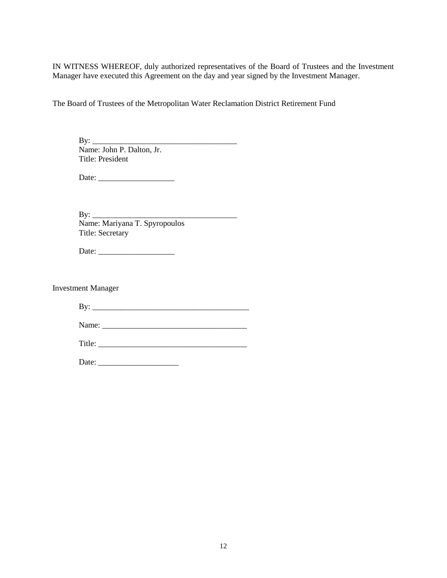IN WITNESS WHEREOF, duly authorized representatives of the Board of Trustees and the Investment Manager have executed this Agreement on the day and year signed by the Investment Manager.

The Board of Trustees of the Metropolitan Water Reclamation District Retirement Fund

By: \_\_\_\_\_\_\_\_\_\_\_\_\_\_\_\_\_\_\_\_\_\_\_\_\_\_\_\_\_\_\_\_\_\_\_\_ Name: John P. Dalton, Jr. Title: President

Date: \_\_\_\_\_\_\_\_\_\_\_\_\_\_\_\_\_\_\_

By: \_\_\_\_\_\_\_\_\_\_\_\_\_\_\_\_\_\_\_\_\_\_\_\_\_\_\_\_\_\_\_\_\_\_\_\_ Name: Mariyana T. Spyropoulos Title: Secretary

Date: \_\_\_\_\_\_\_\_\_\_\_\_\_\_\_\_\_\_\_

Investment Manager

| D<br> |  |  |  |
|-------|--|--|--|
|       |  |  |  |

Name: \_\_\_\_\_\_\_\_\_\_\_\_\_\_\_\_\_\_\_\_\_\_\_\_\_\_\_\_\_\_\_\_\_\_\_\_

Date: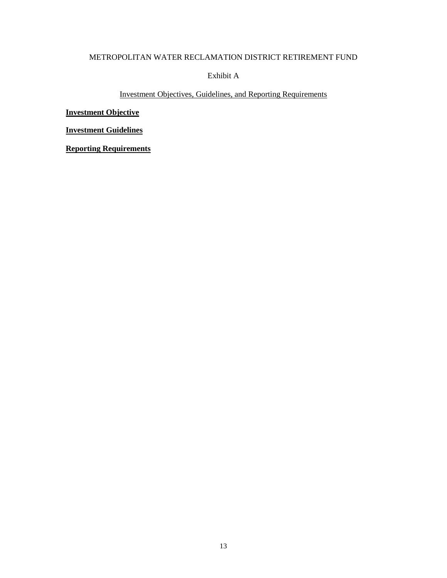### Exhibit A

# Investment Objectives, Guidelines, and Reporting Requirements

**Investment Objective**

**Investment Guidelines**

**Reporting Requirements**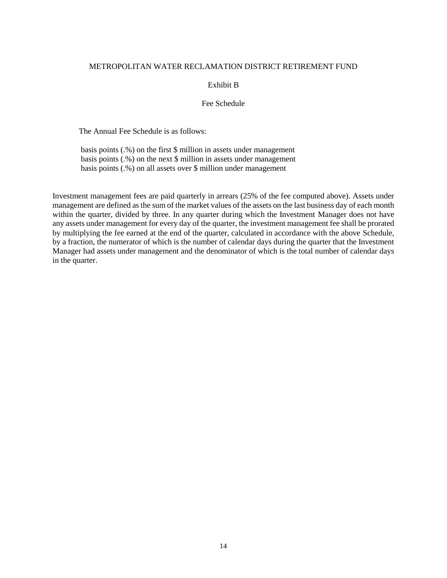#### Exhibit B

#### Fee Schedule

The Annual Fee Schedule is as follows:

basis points (.%) on the first \$ million in assets under management basis points (.%) on the next \$ million in assets under management basis points (.%) on all assets over \$ million under management

Investment management fees are paid quarterly in arrears (25% of the fee computed above). Assets under management are defined as the sum of the market values of the assets on the last business day of each month within the quarter, divided by three. In any quarter during which the Investment Manager does not have any assets under management for every day of the quarter, the investment management fee shall be prorated by multiplying the fee earned at the end of the quarter, calculated in accordance with the above Schedule, by a fraction, the numerator of which is the number of calendar days during the quarter that the Investment Manager had assets under management and the denominator of which is the total number of calendar days in the quarter.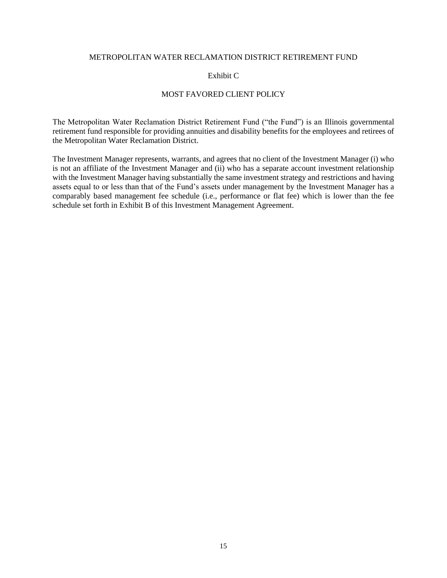#### Exhibit C

### MOST FAVORED CLIENT POLICY

The Metropolitan Water Reclamation District Retirement Fund ("the Fund") is an Illinois governmental retirement fund responsible for providing annuities and disability benefits for the employees and retirees of the Metropolitan Water Reclamation District.

The Investment Manager represents, warrants, and agrees that no client of the Investment Manager (i) who is not an affiliate of the Investment Manager and (ii) who has a separate account investment relationship with the Investment Manager having substantially the same investment strategy and restrictions and having assets equal to or less than that of the Fund's assets under management by the Investment Manager has a comparably based management fee schedule (i.e., performance or flat fee) which is lower than the fee schedule set forth in Exhibit B of this Investment Management Agreement.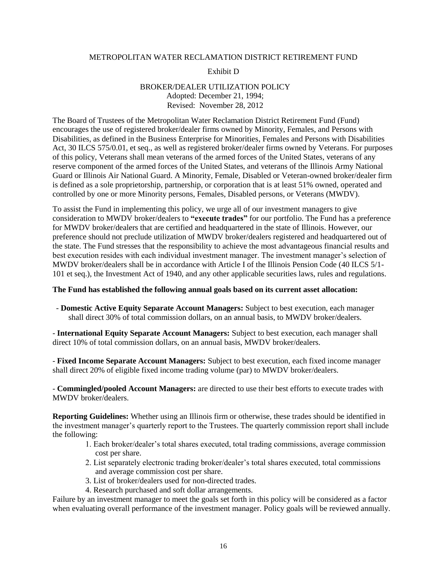#### Exhibit D

## BROKER/DEALER UTILIZATION POLICY Adopted: December 21, 1994; Revised: November 28, 2012

The Board of Trustees of the Metropolitan Water Reclamation District Retirement Fund (Fund) encourages the use of registered broker/dealer firms owned by Minority, Females, and Persons with Disabilities, as defined in the Business Enterprise for Minorities, Females and Persons with Disabilities Act, 30 ILCS 575/0.01, et seq., as well as registered broker/dealer firms owned by Veterans. For purposes of this policy, Veterans shall mean veterans of the armed forces of the United States, veterans of any reserve component of the armed forces of the United States, and veterans of the Illinois Army National Guard or Illinois Air National Guard. A Minority, Female, Disabled or Veteran-owned broker/dealer firm is defined as a sole proprietorship, partnership, or corporation that is at least 51% owned, operated and controlled by one or more Minority persons, Females, Disabled persons, or Veterans (MWDV).

To assist the Fund in implementing this policy, we urge all of our investment managers to give consideration to MWDV broker/dealers to **"execute trades"** for our portfolio. The Fund has a preference for MWDV broker/dealers that are certified and headquartered in the state of Illinois. However, our preference should not preclude utilization of MWDV broker/dealers registered and headquartered out of the state. The Fund stresses that the responsibility to achieve the most advantageous financial results and best execution resides with each individual investment manager. The investment manager's selection of MWDV broker/dealers shall be in accordance with Article I of the Illinois Pension Code (40 ILCS 5/1- 101 et seq.), the Investment Act of 1940, and any other applicable securities laws, rules and regulations.

#### **The Fund has established the following annual goals based on its current asset allocation:**

- **Domestic Active Equity Separate Account Managers:** Subject to best execution, each manager shall direct 30% of total commission dollars, on an annual basis, to MWDV broker/dealers.

- **International Equity Separate Account Managers:** Subject to best execution, each manager shall direct 10% of total commission dollars, on an annual basis, MWDV broker/dealers.

- **Fixed Income Separate Account Managers:** Subject to best execution, each fixed income manager shall direct 20% of eligible fixed income trading volume (par) to MWDV broker/dealers.

- **Commingled/pooled Account Managers:** are directed to use their best efforts to execute trades with MWDV broker/dealers.

**Reporting Guidelines:** Whether using an Illinois firm or otherwise, these trades should be identified in the investment manager's quarterly report to the Trustees. The quarterly commission report shall include the following:

- 1. Each broker/dealer's total shares executed, total trading commissions, average commission cost per share.
- 2. List separately electronic trading broker/dealer's total shares executed, total commissions and average commission cost per share.
- 3. List of broker/dealers used for non-directed trades.
- 4. Research purchased and soft dollar arrangements.

Failure by an investment manager to meet the goals set forth in this policy will be considered as a factor when evaluating overall performance of the investment manager. Policy goals will be reviewed annually.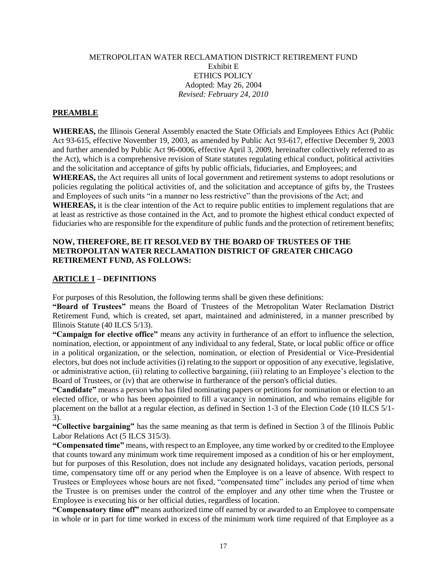## METROPOLITAN WATER RECLAMATION DISTRICT RETIREMENT FUND Exhibit E ETHICS POLICY Adopted: May 26, 2004 *Revised: February 24, 2010*

## **PREAMBLE**

**WHEREAS,** the Illinois General Assembly enacted the State Officials and Employees Ethics Act (Public Act 93-615, effective November 19, 2003, as amended by Public Act 93-617, effective December 9, 2003 and further amended by Public Act 96-0006, effective April 3, 2009, hereinafter collectively referred to as the Act), which is a comprehensive revision of State statutes regulating ethical conduct, political activities and the solicitation and acceptance of gifts by public officials, fiduciaries, and Employees; and **WHEREAS,** the Act requires all units of local government and retirement systems to adopt resolutions or

policies regulating the political activities of, and the solicitation and acceptance of gifts by, the Trustees and Employees of such units "in a manner no less restrictive" than the provisions of the Act; and

**WHEREAS,** it is the clear intention of the Act to require public entities to implement regulations that are at least as restrictive as those contained in the Act, and to promote the highest ethical conduct expected of fiduciaries who are responsible for the expenditure of public funds and the protection of retirement benefits;

## **NOW, THEREFORE, BE IT RESOLVED BY THE BOARD OF TRUSTEES OF THE METROPOLITAN WATER RECLAMATION DISTRICT OF GREATER CHICAGO RETIREMENT FUND, AS FOLLOWS:**

## **ARTICLE 1 – DEFINITIONS**

For purposes of this Resolution, the following terms shall be given these definitions:

**"Board of Trustees"** means the Board of Trustees of the Metropolitan Water Reclamation District Retirement Fund, which is created, set apart, maintained and administered, in a manner prescribed by Illinois Statute (40 ILCS 5/13).

**"Campaign for elective office"** means any activity in furtherance of an effort to influence the selection, nomination, election, or appointment of any individual to any federal, State, or local public office or office in a political organization, or the selection, nomination, or election of Presidential or Vice-Presidential electors, but does not include activities (i) relating to the support or opposition of any executive, legislative, or administrative action, (ii) relating to collective bargaining, (iii) relating to an Employee's election to the Board of Trustees, or (iv) that are otherwise in furtherance of the person's official duties.

**"Candidate"** means a person who has filed nominating papers or petitions for nomination or election to an elected office, or who has been appointed to fill a vacancy in nomination, and who remains eligible for placement on the ballot at a regular election, as defined in Section 1-3 of the Election Code (10 ILCS 5/1- 3).

**"Collective bargaining"** has the same meaning as that term is defined in Section 3 of the Illinois Public Labor Relations Act (5 ILCS 315/3).

**"Compensated time"** means, with respect to an Employee, any time worked by or credited to the Employee that counts toward any minimum work time requirement imposed as a condition of his or her employment, but for purposes of this Resolution, does not include any designated holidays, vacation periods, personal time, compensatory time off or any period when the Employee is on a leave of absence. With respect to Trustees or Employees whose hours are not fixed, "compensated time" includes any period of time when the Trustee is on premises under the control of the employer and any other time when the Trustee or Employee is executing his or her official duties, regardless of location.

**"Compensatory time off"** means authorized time off earned by or awarded to an Employee to compensate in whole or in part for time worked in excess of the minimum work time required of that Employee as a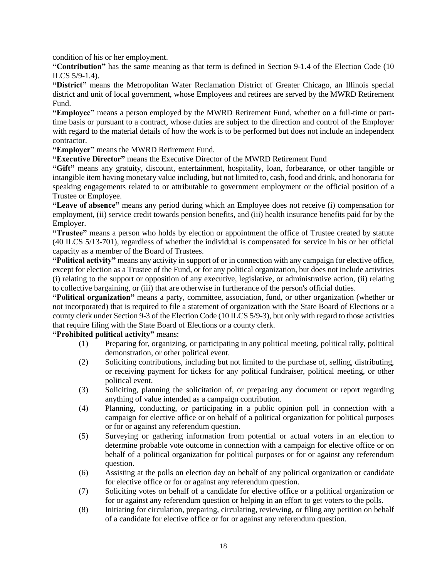condition of his or her employment.

**"Contribution"** has the same meaning as that term is defined in Section 9-1.4 of the Election Code (10 ILCS 5/9-1.4).

**"District"** means the Metropolitan Water Reclamation District of Greater Chicago, an Illinois special district and unit of local government, whose Employees and retirees are served by the MWRD Retirement Fund.

**"Employee"** means a person employed by the MWRD Retirement Fund, whether on a full-time or parttime basis or pursuant to a contract, whose duties are subject to the direction and control of the Employer with regard to the material details of how the work is to be performed but does not include an independent contractor.

**"Employer"** means the MWRD Retirement Fund.

**"Executive Director"** means the Executive Director of the MWRD Retirement Fund

**"Gift"** means any gratuity, discount, entertainment, hospitality, loan, forbearance, or other tangible or intangible item having monetary value including, but not limited to, cash, food and drink, and honoraria for speaking engagements related to or attributable to government employment or the official position of a Trustee or Employee.

**"Leave of absence"** means any period during which an Employee does not receive (i) compensation for employment, (ii) service credit towards pension benefits, and (iii) health insurance benefits paid for by the Employer.

**"Trustee"** means a person who holds by election or appointment the office of Trustee created by statute (40 ILCS 5/13-701), regardless of whether the individual is compensated for service in his or her official capacity as a member of the Board of Trustees.

**"Political activity"** means any activity in support of or in connection with any campaign for elective office, except for election as a Trustee of the Fund, or for any political organization, but does not include activities (i) relating to the support or opposition of any executive, legislative, or administrative action, (ii) relating to collective bargaining, or (iii) that are otherwise in furtherance of the person's official duties.

**"Political organization"** means a party, committee, association, fund, or other organization (whether or not incorporated) that is required to file a statement of organization with the State Board of Elections or a county clerk under Section 9-3 of the Election Code (10 ILCS 5/9-3), but only with regard to those activities that require filing with the State Board of Elections or a county clerk.

**"Prohibited political activity"** means:

- (1) Preparing for, organizing, or participating in any political meeting, political rally, political demonstration, or other political event.
- (2) Soliciting contributions, including but not limited to the purchase of, selling, distributing, or receiving payment for tickets for any political fundraiser, political meeting, or other political event.
- (3) Soliciting, planning the solicitation of, or preparing any document or report regarding anything of value intended as a campaign contribution.
- (4) Planning, conducting, or participating in a public opinion poll in connection with a campaign for elective office or on behalf of a political organization for political purposes or for or against any referendum question.
- (5) Surveying or gathering information from potential or actual voters in an election to determine probable vote outcome in connection with a campaign for elective office or on behalf of a political organization for political purposes or for or against any referendum question.
- (6) Assisting at the polls on election day on behalf of any political organization or candidate for elective office or for or against any referendum question.
- (7) Soliciting votes on behalf of a candidate for elective office or a political organization or for or against any referendum question or helping in an effort to get voters to the polls.
- (8) Initiating for circulation, preparing, circulating, reviewing, or filing any petition on behalf of a candidate for elective office or for or against any referendum question.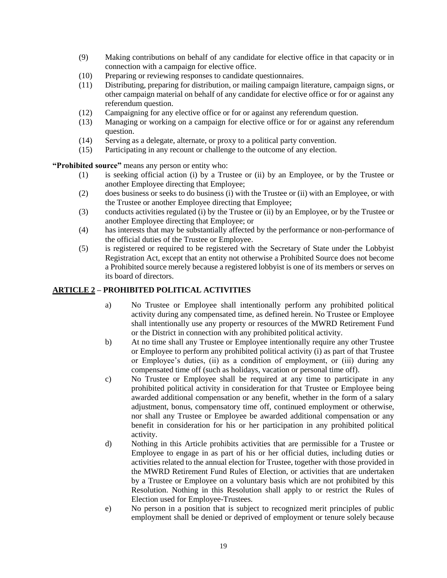- (9) Making contributions on behalf of any candidate for elective office in that capacity or in connection with a campaign for elective office.
- (10) Preparing or reviewing responses to candidate questionnaires.
- (11) Distributing, preparing for distribution, or mailing campaign literature, campaign signs, or other campaign material on behalf of any candidate for elective office or for or against any referendum question.
- (12) Campaigning for any elective office or for or against any referendum question.
- (13) Managing or working on a campaign for elective office or for or against any referendum question.
- (14) Serving as a delegate, alternate, or proxy to a political party convention.
- (15) Participating in any recount or challenge to the outcome of any election.

**"Prohibited source"** means any person or entity who:

- (1) is seeking official action (i) by a Trustee or (ii) by an Employee, or by the Trustee or another Employee directing that Employee;
- (2) does business or seeks to do business (i) with the Trustee or (ii) with an Employee, or with the Trustee or another Employee directing that Employee;
- (3) conducts activities regulated (i) by the Trustee or (ii) by an Employee, or by the Trustee or another Employee directing that Employee; or
- (4) has interests that may be substantially affected by the performance or non-performance of the official duties of the Trustee or Employee.
- (5) is registered or required to be registered with the Secretary of State under the Lobbyist Registration Act, except that an entity not otherwise a Prohibited Source does not become a Prohibited source merely because a registered lobbyist is one of its members or serves on its board of directors.

## **ARTICLE 2 – PROHIBITED POLITICAL ACTIVITIES**

- a) No Trustee or Employee shall intentionally perform any prohibited political activity during any compensated time, as defined herein. No Trustee or Employee shall intentionally use any property or resources of the MWRD Retirement Fund or the District in connection with any prohibited political activity.
- b) At no time shall any Trustee or Employee intentionally require any other Trustee or Employee to perform any prohibited political activity (i) as part of that Trustee or Employee's duties, (ii) as a condition of employment, or (iii) during any compensated time off (such as holidays, vacation or personal time off).
- c) No Trustee or Employee shall be required at any time to participate in any prohibited political activity in consideration for that Trustee or Employee being awarded additional compensation or any benefit, whether in the form of a salary adjustment, bonus, compensatory time off, continued employment or otherwise, nor shall any Trustee or Employee be awarded additional compensation or any benefit in consideration for his or her participation in any prohibited political activity.
- d) Nothing in this Article prohibits activities that are permissible for a Trustee or Employee to engage in as part of his or her official duties, including duties or activities related to the annual election for Trustee, together with those provided in the MWRD Retirement Fund Rules of Election, or activities that are undertaken by a Trustee or Employee on a voluntary basis which are not prohibited by this Resolution. Nothing in this Resolution shall apply to or restrict the Rules of Election used for Employee-Trustees.
- e) No person in a position that is subject to recognized merit principles of public employment shall be denied or deprived of employment or tenure solely because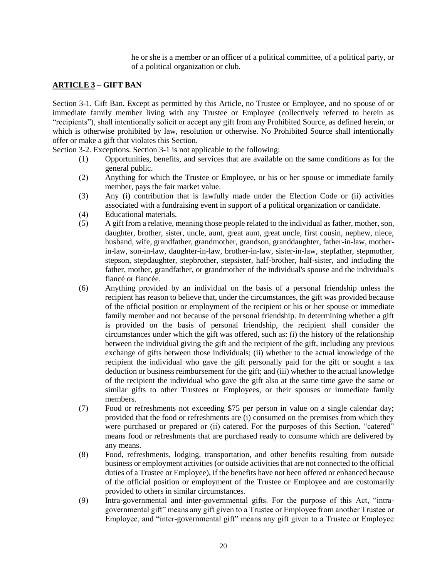he or she is a member or an officer of a political committee, of a political party, or of a political organization or club.

## **ARTICLE 3 – GIFT BAN**

Section 3-1. Gift Ban. Except as permitted by this Article, no Trustee or Employee, and no spouse of or immediate family member living with any Trustee or Employee (collectively referred to herein as "recipients"), shall intentionally solicit or accept any gift from any Prohibited Source, as defined herein, or which is otherwise prohibited by law, resolution or otherwise. No Prohibited Source shall intentionally offer or make a gift that violates this Section.

Section 3-2. Exceptions. Section 3-1 is not applicable to the following:

- (1) Opportunities, benefits, and services that are available on the same conditions as for the general public.
- (2) Anything for which the Trustee or Employee, or his or her spouse or immediate family member, pays the fair market value.
- (3) Any (i) contribution that is lawfully made under the Election Code or (ii) activities associated with a fundraising event in support of a political organization or candidate.
- (4) Educational materials.
- (5) A gift from a relative, meaning those people related to the individual as father, mother, son, daughter, brother, sister, uncle, aunt, great aunt, great uncle, first cousin, nephew, niece, husband, wife, grandfather, grandmother, grandson, granddaughter, father-in-law, motherin-law, son-in-law, daughter-in-law, brother-in-law, sister-in-law, stepfather, stepmother, stepson, stepdaughter, stepbrother, stepsister, half-brother, half-sister, and including the father, mother, grandfather, or grandmother of the individual's spouse and the individual's fiancé or fiancée.
- (6) Anything provided by an individual on the basis of a personal friendship unless the recipient has reason to believe that, under the circumstances, the gift was provided because of the official position or employment of the recipient or his or her spouse or immediate family member and not because of the personal friendship. In determining whether a gift is provided on the basis of personal friendship, the recipient shall consider the circumstances under which the gift was offered, such as: (i) the history of the relationship between the individual giving the gift and the recipient of the gift, including any previous exchange of gifts between those individuals; (ii) whether to the actual knowledge of the recipient the individual who gave the gift personally paid for the gift or sought a tax deduction or business reimbursement for the gift; and (iii) whether to the actual knowledge of the recipient the individual who gave the gift also at the same time gave the same or similar gifts to other Trustees or Employees, or their spouses or immediate family members.
- (7) Food or refreshments not exceeding \$75 per person in value on a single calendar day; provided that the food or refreshments are (i) consumed on the premises from which they were purchased or prepared or (ii) catered. For the purposes of this Section, "catered" means food or refreshments that are purchased ready to consume which are delivered by any means.
- (8) Food, refreshments, lodging, transportation, and other benefits resulting from outside business or employment activities (or outside activities that are not connected to the official duties of a Trustee or Employee), if the benefits have not been offered or enhanced because of the official position or employment of the Trustee or Employee and are customarily provided to others in similar circumstances.
- (9) Intra-governmental and inter-governmental gifts. For the purpose of this Act, "intragovernmental gift" means any gift given to a Trustee or Employee from another Trustee or Employee, and "inter-governmental gift" means any gift given to a Trustee or Employee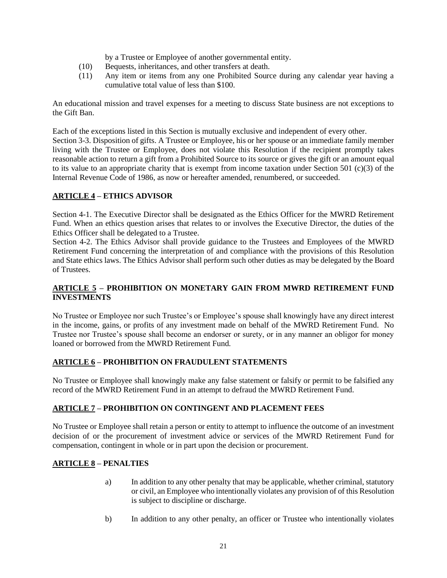by a Trustee or Employee of another governmental entity.

- (10) Bequests, inheritances, and other transfers at death.
- (11) Any item or items from any one Prohibited Source during any calendar year having a cumulative total value of less than \$100.

An educational mission and travel expenses for a meeting to discuss State business are not exceptions to the Gift Ban.

Each of the exceptions listed in this Section is mutually exclusive and independent of every other. Section 3-3. Disposition of gifts. A Trustee or Employee, his or her spouse or an immediate family member living with the Trustee or Employee, does not violate this Resolution if the recipient promptly takes reasonable action to return a gift from a Prohibited Source to its source or gives the gift or an amount equal to its value to an appropriate charity that is exempt from income taxation under Section 501 (c)(3) of the Internal Revenue Code of 1986, as now or hereafter amended, renumbered, or succeeded.

## **ARTICLE 4 – ETHICS ADVISOR**

Section 4-1. The Executive Director shall be designated as the Ethics Officer for the MWRD Retirement Fund. When an ethics question arises that relates to or involves the Executive Director, the duties of the Ethics Officer shall be delegated to a Trustee.

Section 4-2. The Ethics Advisor shall provide guidance to the Trustees and Employees of the MWRD Retirement Fund concerning the interpretation of and compliance with the provisions of this Resolution and State ethics laws. The Ethics Advisor shall perform such other duties as may be delegated by the Board of Trustees.

## **ARTICLE 5 – PROHIBITION ON MONETARY GAIN FROM MWRD RETIREMENT FUND INVESTMENTS**

No Trustee or Employee nor such Trustee's or Employee's spouse shall knowingly have any direct interest in the income, gains, or profits of any investment made on behalf of the MWRD Retirement Fund. No Trustee nor Trustee's spouse shall become an endorser or surety, or in any manner an obligor for money loaned or borrowed from the MWRD Retirement Fund.

## **ARTICLE 6 – PROHIBITION ON FRAUDULENT STATEMENTS**

No Trustee or Employee shall knowingly make any false statement or falsify or permit to be falsified any record of the MWRD Retirement Fund in an attempt to defraud the MWRD Retirement Fund.

## **ARTICLE 7 – PROHIBITION ON CONTINGENT AND PLACEMENT FEES**

No Trustee or Employee shall retain a person or entity to attempt to influence the outcome of an investment decision of or the procurement of investment advice or services of the MWRD Retirement Fund for compensation, contingent in whole or in part upon the decision or procurement.

## **ARTICLE 8 – PENALTIES**

- a) In addition to any other penalty that may be applicable, whether criminal, statutory or civil, an Employee who intentionally violates any provision of of this Resolution is subject to discipline or discharge.
- b) In addition to any other penalty, an officer or Trustee who intentionally violates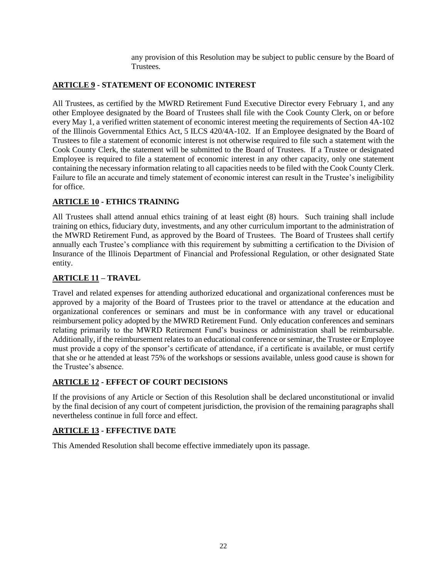any provision of this Resolution may be subject to public censure by the Board of Trustees.

## **ARTICLE 9 - STATEMENT OF ECONOMIC INTEREST**

All Trustees, as certified by the MWRD Retirement Fund Executive Director every February 1, and any other Employee designated by the Board of Trustees shall file with the Cook County Clerk, on or before every May 1, a verified written statement of economic interest meeting the requirements of Section 4A-102 of the Illinois Governmental Ethics Act, 5 ILCS 420/4A-102. If an Employee designated by the Board of Trustees to file a statement of economic interest is not otherwise required to file such a statement with the Cook County Clerk, the statement will be submitted to the Board of Trustees. If a Trustee or designated Employee is required to file a statement of economic interest in any other capacity, only one statement containing the necessary information relating to all capacities needs to be filed with the Cook County Clerk. Failure to file an accurate and timely statement of economic interest can result in the Trustee's ineligibility for office.

## **ARTICLE 10 - ETHICS TRAINING**

All Trustees shall attend annual ethics training of at least eight (8) hours. Such training shall include training on ethics, fiduciary duty, investments, and any other curriculum important to the administration of the MWRD Retirement Fund, as approved by the Board of Trustees. The Board of Trustees shall certify annually each Trustee's compliance with this requirement by submitting a certification to the Division of Insurance of the Illinois Department of Financial and Professional Regulation, or other designated State entity.

## **ARTICLE 11 – TRAVEL**

Travel and related expenses for attending authorized educational and organizational conferences must be approved by a majority of the Board of Trustees prior to the travel or attendance at the education and organizational conferences or seminars and must be in conformance with any travel or educational reimbursement policy adopted by the MWRD Retirement Fund. Only education conferences and seminars relating primarily to the MWRD Retirement Fund's business or administration shall be reimbursable. Additionally, if the reimbursement relates to an educational conference or seminar, the Trustee or Employee must provide a copy of the sponsor's certificate of attendance, if a certificate is available, or must certify that she or he attended at least 75% of the workshops or sessions available, unless good cause is shown for the Trustee's absence.

## **ARTICLE 12 - EFFECT OF COURT DECISIONS**

If the provisions of any Article or Section of this Resolution shall be declared unconstitutional or invalid by the final decision of any court of competent jurisdiction, the provision of the remaining paragraphs shall nevertheless continue in full force and effect.

## **ARTICLE 13 - EFFECTIVE DATE**

This Amended Resolution shall become effective immediately upon its passage.